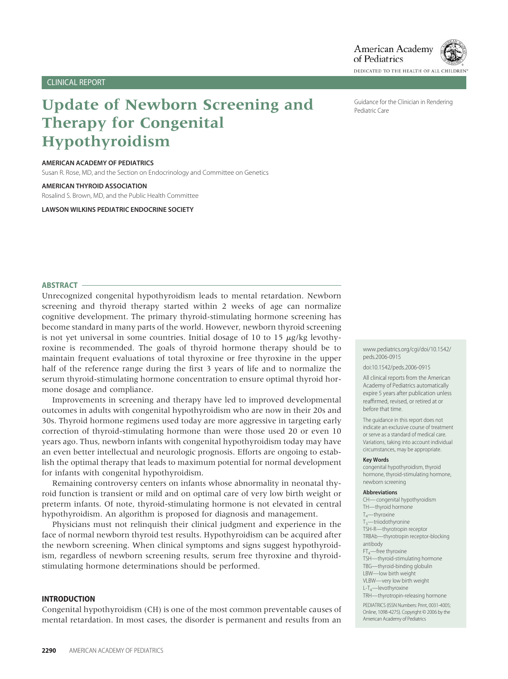DEDICATED TO THE HEALTH OF ALL CHILDR

American Academy of Pediatrics

### CLINICAL REPORT

# **Update of Newborn Screening and Therapy for Congenital Hypothyroidism**

### **AMERICAN ACADEMY OF PEDIATRICS**

Susan R. Rose, MD, and the Section on Endocrinology and Committee on Genetics

#### **AMERICAN THYROID ASSOCIATION**

Rosalind S. Brown, MD, and the Public Health Committee

**LAWSON WILKINS PEDIATRIC ENDOCRINE SOCIETY**

Guidance for the Clinician in Rendering Pediatric Care

### **ABSTRACT**

Unrecognized congenital hypothyroidism leads to mental retardation. Newborn screening and thyroid therapy started within 2 weeks of age can normalize cognitive development. The primary thyroid-stimulating hormone screening has become standard in many parts of the world. However, newborn thyroid screening is not yet universal in some countries. Initial dosage of 10 to 15  $\mu$ g/kg levothyroxine is recommended. The goals of thyroid hormone therapy should be to maintain frequent evaluations of total thyroxine or free thyroxine in the upper half of the reference range during the first 3 years of life and to normalize the serum thyroid-stimulating hormone concentration to ensure optimal thyroid hormone dosage and compliance.

Improvements in screening and therapy have led to improved developmental outcomes in adults with congenital hypothyroidism who are now in their 20s and 30s. Thyroid hormone regimens used today are more aggressive in targeting early correction of thyroid-stimulating hormone than were those used 20 or even 10 years ago. Thus, newborn infants with congenital hypothyroidism today may have an even better intellectual and neurologic prognosis. Efforts are ongoing to establish the optimal therapy that leads to maximum potential for normal development for infants with congenital hypothyroidism.

Remaining controversy centers on infants whose abnormality in neonatal thyroid function is transient or mild and on optimal care of very low birth weight or preterm infants. Of note, thyroid-stimulating hormone is not elevated in central hypothyroidism. An algorithm is proposed for diagnosis and management.

Physicians must not relinquish their clinical judgment and experience in the face of normal newborn thyroid test results. Hypothyroidism can be acquired after the newborn screening. When clinical symptoms and signs suggest hypothyroidism, regardless of newborn screening results, serum free thyroxine and thyroidstimulating hormone determinations should be performed.

### **INTRODUCTION**

Congenital hypothyroidism (CH) is one of the most common preventable causes of mental retardation. In most cases, the disorder is permanent and results from an

www.pediatrics.org/cgi/doi/10.1542/ peds.2006-0915

doi:10.1542/peds.2006-0915

All clinical reports from the American Academy of Pediatrics automatically expire 5 years after publication unless reaffirmed, revised, or retired at or before that time.

The guidance in this report does not indicate an exclusive course of treatment or serve as a standard of medical care. Variations, taking into account individual circumstances, may be appropriate.

### **Key Words**

congenital hypothyroidism, thyroid hormone, thyroid-stimulating hormone, newborn screening

#### **Abbreviations**

CH— congenital hypothyroidism TH—thyroid hormone  $T_4$ —thyroxine T<sub>3</sub>—triiodothyronine TSH-R—thyrotropin receptor TRBAb—thyrotropin receptor-blocking antibody FT<sub>4</sub>—free thyroxine TSH—thyroid-stimulating hormone TBG—thyroid-binding globulin LBW—low birth weight VLBW—very low birth weight  $L-T_4$ —levothyroxine TRH—thyrotropin-releasing hormone PEDIATRICS (ISSN Numbers: Print, 0031-4005; Online, 1098-4275). Copyright © 2006 by the American Academy of Pediatrics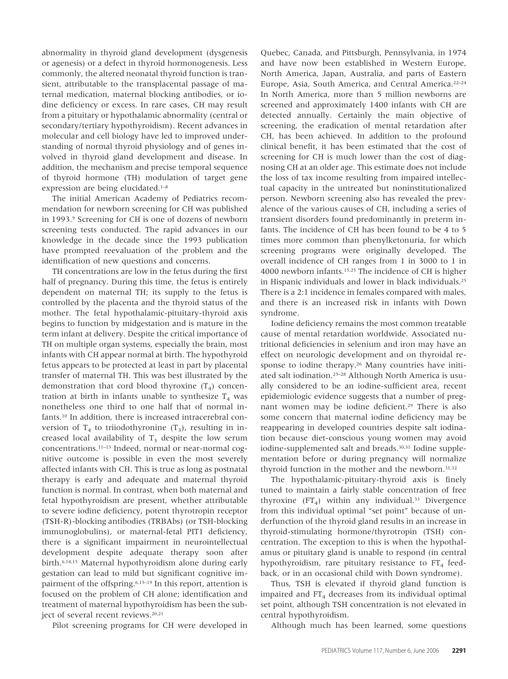abnormality in thyroid gland development (dysgenesis or agenesis) or a defect in thyroid hormonogenesis. Less commonly, the altered neonatal thyroid function is transient, attributable to the transplacental passage of maternal medication, maternal blocking antibodies, or iodine deficiency or excess. In rare cases, CH may result from a pituitary or hypothalamic abnormality (central or secondary/tertiary hypothyroidism). Recent advances in molecular and cell biology have led to improved understanding of normal thyroid physiology and of genes involved in thyroid gland development and disease. In addition, the mechanism and precise temporal sequence of thyroid hormone (TH) modulation of target gene expression are being elucidated.<sup>1-8</sup>

The initial American Academy of Pediatrics recommendation for newborn screening for CH was published in 1993.9 Screening for CH is one of dozens of newborn screening tests conducted. The rapid advances in our knowledge in the decade since the 1993 publication have prompted reevaluation of the problem and the identification of new questions and concerns.

TH concentrations are low in the fetus during the first half of pregnancy. During this time, the fetus is entirely dependent on maternal TH; its supply to the fetus is controlled by the placenta and the thyroid status of the mother. The fetal hypothalamic-pituitary-thyroid axis begins to function by midgestation and is mature in the term infant at delivery. Despite the critical importance of TH on multiple organ systems, especially the brain, most infants with CH appear normal at birth. The hypothyroid fetus appears to be protected at least in part by placental transfer of maternal TH. This was best illustrated by the demonstration that cord blood thyroxine  $(T_4)$  concentration at birth in infants unable to synthesize  $T_4$  was nonetheless one third to one half that of normal infants.10 In addition, there is increased intracerebral conversion of  $T_4$  to triiodothyronine  $(T_3)$ , resulting in increased local availability of  $T_3$  despite the low serum concentrations.11–13 Indeed, normal or near-normal cognitive outcome is possible in even the most severely affected infants with CH. This is true as long as postnatal therapy is early and adequate and maternal thyroid function is normal. In contrast, when both maternal and fetal hypothyroidism are present, whether attributable to severe iodine deficiency, potent thyrotropin receptor (TSH-R)-blocking antibodies (TRBAbs) (or TSH-blocking immunoglobulins), or maternal-fetal PIT1 deficiency, there is a significant impairment in neurointellectual development despite adequate therapy soon after birth.6,14,15 Maternal hypothyroidism alone during early gestation can lead to mild but significant cognitive impairment of the offspring.6,15–19 In this report, attention is focused on the problem of CH alone; identification and treatment of maternal hypothyroidism has been the subject of several recent reviews.<sup>20,21</sup>

Pilot screening programs for CH were developed in

Quebec, Canada, and Pittsburgh, Pennsylvania, in 1974 and have now been established in Western Europe, North America, Japan, Australia, and parts of Eastern Europe, Asia, South America, and Central America.22–24 In North America, more than 5 million newborns are screened and approximately 1400 infants with CH are detected annually. Certainly the main objective of screening, the eradication of mental retardation after CH, has been achieved. In addition to the profound clinical benefit, it has been estimated that the cost of screening for CH is much lower than the cost of diagnosing CH at an older age. This estimate does not include the loss of tax income resulting from impaired intellectual capacity in the untreated but noninstitutionalized person. Newborn screening also has revealed the prevalence of the various causes of CH, including a series of transient disorders found predominantly in preterm infants. The incidence of CH has been found to be 4 to 5 times more common than phenylketonuria, for which screening programs were originally developed. The overall incidence of CH ranges from 1 in 3000 to 1 in 4000 newborn infants.15,25 The incidence of CH is higher in Hispanic individuals and lower in black individuals.25 There is a 2:1 incidence in females compared with males, and there is an increased risk in infants with Down syndrome.

Iodine deficiency remains the most common treatable cause of mental retardation worldwide. Associated nutritional deficiencies in selenium and iron may have an effect on neurologic development and on thyroidal response to iodine therapy.<sup>26</sup> Many countries have initiated salt iodination.25–28 Although North America is usually considered to be an iodine-sufficient area, recent epidemiologic evidence suggests that a number of pregnant women may be iodine deficient.<sup>29</sup> There is also some concern that maternal iodine deficiency may be reappearing in developed countries despite salt iodination because diet-conscious young women may avoid iodine-supplemented salt and breads.<sup>30,31</sup> Iodine supplementation before or during pregnancy will normalize thyroid function in the mother and the newborn.<sup>31,32</sup>

The hypothalamic-pituitary-thyroid axis is finely tuned to maintain a fairly stable concentration of free thyroxine  $(FT<sub>4</sub>)$  within any individual.<sup>33</sup> Divergence from this individual optimal "set point" because of underfunction of the thyroid gland results in an increase in thyroid-stimulating hormone/thyrotropin (TSH) concentration. The exception to this is when the hypothalamus or pituitary gland is unable to respond (in central hypothyroidism, rare pituitary resistance to  $FT<sub>4</sub>$  feedback, or in an occasional child with Down syndrome).

Thus, TSH is elevated if thyroid gland function is impaired and  $FT_4$  decreases from its individual optimal set point, although TSH concentration is not elevated in central hypothyroidism.

Although much has been learned, some questions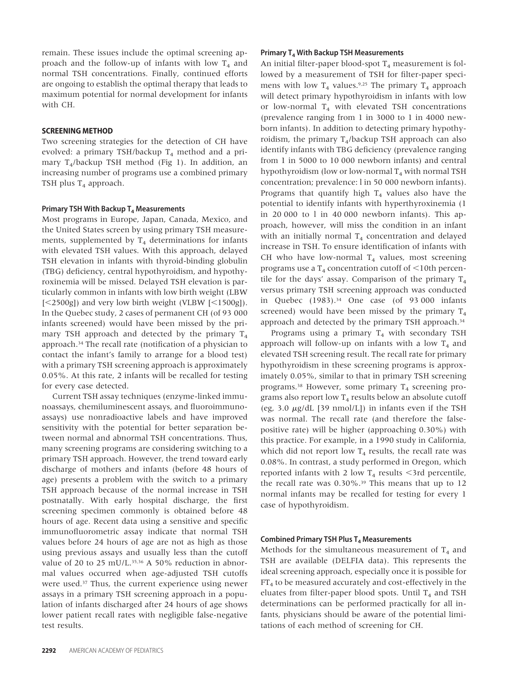remain. These issues include the optimal screening approach and the follow-up of infants with low  $T_4$  and normal TSH concentrations. Finally, continued efforts are ongoing to establish the optimal therapy that leads to maximum potential for normal development for infants with CH.

### **SCREENING METHOD**

Two screening strategies for the detection of CH have evolved: a primary TSH/backup  $T_4$  method and a primary  $T_4$ /backup TSH method (Fig 1). In addition, an increasing number of programs use a combined primary TSH plus  $T_4$  approach.

### **Primary TSH With Backup T4 Measurements**

Most programs in Europe, Japan, Canada, Mexico, and the United States screen by using primary TSH measurements, supplemented by  $T_4$  determinations for infants with elevated TSH values. With this approach, delayed TSH elevation in infants with thyroid-binding globulin (TBG) deficiency, central hypothyroidism, and hypothyroxinemia will be missed. Delayed TSH elevation is particularly common in infants with low birth weight (LBW  $\sim$  [<2500g]) and very low birth weight (VLBW [<1500g]). In the Quebec study, 2 cases of permanent CH (of 93 000 infants screened) would have been missed by the primary TSH approach and detected by the primary  $T_4$ approach.34 The recall rate (notification of a physician to contact the infant's family to arrange for a blood test) with a primary TSH screening approach is approximately 0.05%. At this rate, 2 infants will be recalled for testing for every case detected.

Current TSH assay techniques (enzyme-linked immunoassays, chemiluminescent assays, and fluoroimmunoassays) use nonradioactive labels and have improved sensitivity with the potential for better separation between normal and abnormal TSH concentrations. Thus, many screening programs are considering switching to a primary TSH approach. However, the trend toward early discharge of mothers and infants (before 48 hours of age) presents a problem with the switch to a primary TSH approach because of the normal increase in TSH postnatally. With early hospital discharge, the first screening specimen commonly is obtained before 48 hours of age. Recent data using a sensitive and specific immunofluorometric assay indicate that normal TSH values before 24 hours of age are not as high as those using previous assays and usually less than the cutoff value of 20 to 25 mU/L.<sup>35,36</sup> A 50% reduction in abnormal values occurred when age-adjusted TSH cutoffs were used.<sup>37</sup> Thus, the current experience using newer assays in a primary TSH screening approach in a population of infants discharged after 24 hours of age shows lower patient recall rates with negligible false-negative test results.

# **Primary T4 With Backup TSH Measurements**

An initial filter-paper blood-spot  $T_4$  measurement is followed by a measurement of TSH for filter-paper specimens with low  $T_4$  values.<sup>9,25</sup> The primary  $T_4$  approach will detect primary hypothyroidism in infants with low or low-normal  $T_4$  with elevated TSH concentrations (prevalence ranging from 1 in 3000 to 1 in 4000 newborn infants). In addition to detecting primary hypothyroidism, the primary  $T_4$ /backup TSH approach can also identify infants with TBG deficiency (prevalence ranging from 1 in 5000 to 10 000 newborn infants) and central hypothyroidism (low or low-normal  $T<sub>4</sub>$  with normal TSH concentration; prevalence: l in 50 000 newborn infants). Programs that quantify high  $T_4$  values also have the potential to identify infants with hyperthyroxinemia (1 in 20 000 to l in 40 000 newborn infants). This approach, however, will miss the condition in an infant with an initially normal  $T_4$  concentration and delayed increase in TSH. To ensure identification of infants with CH who have low-normal  $T_4$  values, most screening programs use a  $T_4$  concentration cutoff of  $\leq 10$ th percentile for the days' assay. Comparison of the primary  $T_4$ versus primary TSH screening approach was conducted in Quebec (1983).34 One case (of 93 000 infants screened) would have been missed by the primary  $T_4$ approach and detected by the primary TSH approach.<sup>34</sup>

Programs using a primary  $T_4$  with secondary TSH approach will follow-up on infants with a low  $T_4$  and elevated TSH screening result. The recall rate for primary hypothyroidism in these screening programs is approximately 0.05%, similar to that in primary TSH screening programs.<sup>38</sup> However, some primary  $T_4$  screening programs also report low  $T_4$  results below an absolute cutoff (eg, 3.0  $\mu$ g/dL [39 nmol/L]) in infants even if the TSH was normal. The recall rate (and therefore the falsepositive rate) will be higher (approaching 0.30%) with this practice. For example, in a 1990 study in California, which did not report low  $T_4$  results, the recall rate was 0.08%. In contrast, a study performed in Oregon, which reported infants with 2 low  $T_4$  results  $\leq$ 3rd percentile, the recall rate was  $0.30\%$ .<sup>39</sup> This means that up to 12 normal infants may be recalled for testing for every 1 case of hypothyroidism.

# **Combined Primary TSH Plus T4 Measurements**

Methods for the simultaneous measurement of  $T_4$  and TSH are available (DELFIA data). This represents the ideal screening approach, especially once it is possible for  $FT<sub>4</sub>$  to be measured accurately and cost-effectively in the eluates from filter-paper blood spots. Until  $T_4$  and TSH determinations can be performed practically for all infants, physicians should be aware of the potential limitations of each method of screening for CH.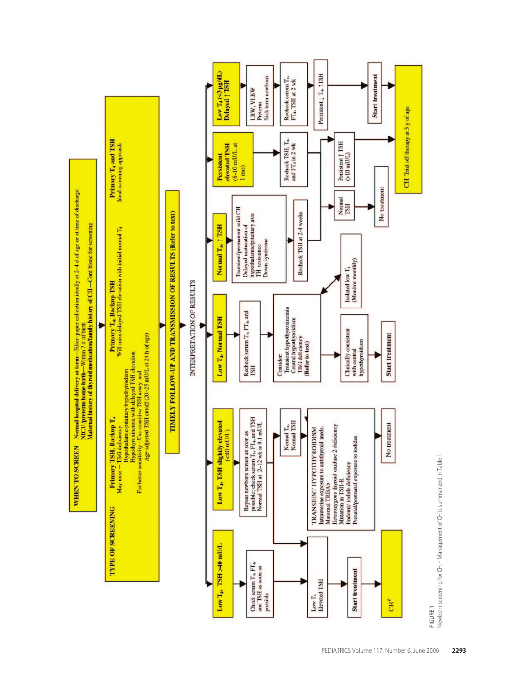

**FIGURE 1**<br>Newborn screening for CH. <sup>a</sup> Management of CH is summarized in Table 1. Newborn screening for CH. a Management of CH is summarized in Table 1.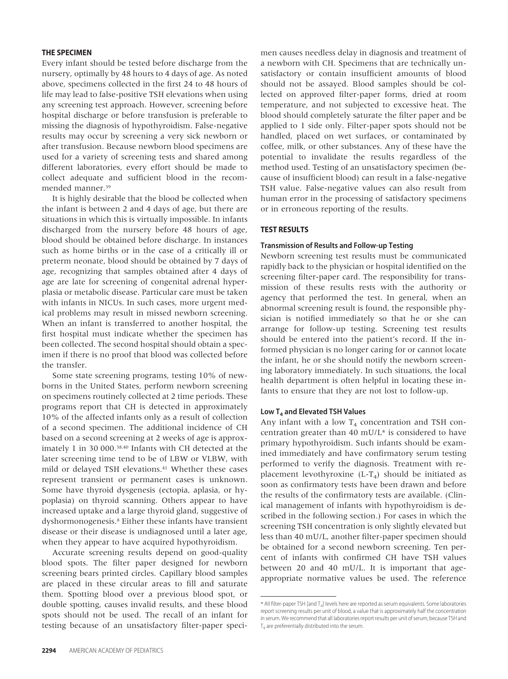# **THE SPECIMEN**

Every infant should be tested before discharge from the nursery, optimally by 48 hours to 4 days of age. As noted above, specimens collected in the first 24 to 48 hours of life may lead to false-positive TSH elevations when using any screening test approach. However, screening before hospital discharge or before transfusion is preferable to missing the diagnosis of hypothyroidism. False-negative results may occur by screening a very sick newborn or after transfusion. Because newborn blood specimens are used for a variety of screening tests and shared among different laboratories, every effort should be made to collect adequate and sufficient blood in the recommended manner.<sup>39</sup>

It is highly desirable that the blood be collected when the infant is between 2 and 4 days of age, but there are situations in which this is virtually impossible. In infants discharged from the nursery before 48 hours of age, blood should be obtained before discharge. In instances such as home births or in the case of a critically ill or preterm neonate, blood should be obtained by 7 days of age, recognizing that samples obtained after 4 days of age are late for screening of congenital adrenal hyperplasia or metabolic disease. Particular care must be taken with infants in NICUs. In such cases, more urgent medical problems may result in missed newborn screening. When an infant is transferred to another hospital, the first hospital must indicate whether the specimen has been collected. The second hospital should obtain a specimen if there is no proof that blood was collected before the transfer.

Some state screening programs, testing 10% of newborns in the United States, perform newborn screening on specimens routinely collected at 2 time periods. These programs report that CH is detected in approximately 10% of the affected infants only as a result of collection of a second specimen. The additional incidence of CH based on a second screening at 2 weeks of age is approximately 1 in 30 000.38,40 Infants with CH detected at the later screening time tend to be of LBW or VLBW, with mild or delayed TSH elevations.<sup>41</sup> Whether these cases represent transient or permanent cases is unknown. Some have thyroid dysgenesis (ectopia, aplasia, or hypoplasia) on thyroid scanning. Others appear to have increased uptake and a large thyroid gland, suggestive of dyshormonogenesis.8 Either these infants have transient disease or their disease is undiagnosed until a later age, when they appear to have acquired hypothyroidism.

Accurate screening results depend on good-quality blood spots. The filter paper designed for newborn screening bears printed circles. Capillary blood samples are placed in these circular areas to fill and saturate them. Spotting blood over a previous blood spot, or double spotting, causes invalid results, and these blood spots should not be used. The recall of an infant for testing because of an unsatisfactory filter-paper specimen causes needless delay in diagnosis and treatment of a newborn with CH. Specimens that are technically unsatisfactory or contain insufficient amounts of blood should not be assayed. Blood samples should be collected on approved filter-paper forms, dried at room temperature, and not subjected to excessive heat. The blood should completely saturate the filter paper and be applied to 1 side only. Filter-paper spots should not be handled, placed on wet surfaces, or contaminated by coffee, milk, or other substances. Any of these have the potential to invalidate the results regardless of the method used. Testing of an unsatisfactory specimen (because of insufficient blood) can result in a false-negative TSH value. False-negative values can also result from human error in the processing of satisfactory specimens or in erroneous reporting of the results.

## **TEST RESULTS**

### **Transmission of Results and Follow-up Testing**

Newborn screening test results must be communicated rapidly back to the physician or hospital identified on the screening filter-paper card. The responsibility for transmission of these results rests with the authority or agency that performed the test. In general, when an abnormal screening result is found, the responsible physician is notified immediately so that he or she can arrange for follow-up testing. Screening test results should be entered into the patient's record. If the informed physician is no longer caring for or cannot locate the infant, he or she should notify the newborn screening laboratory immediately. In such situations, the local health department is often helpful in locating these infants to ensure that they are not lost to follow-up.

### **Low T4 and Elevated TSH Values**

Any infant with a low  $T_4$  concentration and TSH concentration greater than 40 mU/L\* is considered to have primary hypothyroidism. Such infants should be examined immediately and have confirmatory serum testing performed to verify the diagnosis. Treatment with replacement levothyroxine  $(L-T_4)$  should be initiated as soon as confirmatory tests have been drawn and before the results of the confirmatory tests are available. (Clinical management of infants with hypothyroidism is described in the following section.) For cases in which the screening TSH concentration is only slightly elevated but less than 40 mU/L, another filter-paper specimen should be obtained for a second newborn screening. Ten percent of infants with confirmed CH have TSH values between 20 and 40 mU/L. It is important that ageappropriate normative values be used. The reference

<sup>\*</sup> All filter-paper TSH [and T4] levels here are reported as serum equivalents. Some laboratories report screening results per unit of blood, a value that is approximately half the concentration in serum. We recommend that all laboratories report results per unit of serum, because TSH and  $T<sub>4</sub>$  are preferentially distributed into the serum.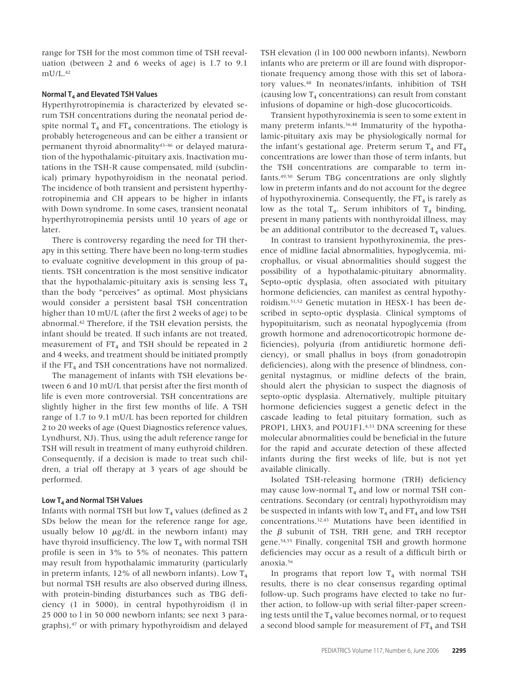range for TSH for the most common time of TSH reevaluation (between 2 and 6 weeks of age) is 1.7 to 9.1  $mU/L^{42}$ 

### **Normal T4 and Elevated TSH Values**

Hyperthyrotropinemia is characterized by elevated serum TSH concentrations during the neonatal period despite normal  $T_4$  and  $FT_4$  concentrations. The etiology is probably heterogeneous and can be either a transient or permanent thyroid abnormality<sup>43-46</sup> or delayed maturation of the hypothalamic-pituitary axis. Inactivation mutations in the TSH-R cause compensated, mild (subclinical) primary hypothyroidism in the neonatal period. The incidence of both transient and persistent hyperthyrotropinemia and CH appears to be higher in infants with Down syndrome. In some cases, transient neonatal hyperthyrotropinemia persists until 10 years of age or later.

There is controversy regarding the need for TH therapy in this setting. There have been no long-term studies to evaluate cognitive development in this group of patients. TSH concentration is the most sensitive indicator that the hypothalamic-pituitary axis is sensing less  $T_4$ than the body "perceives" as optimal. Most physicians would consider a persistent basal TSH concentration higher than 10 mU/L (after the first 2 weeks of age) to be abnormal.42 Therefore, if the TSH elevation persists, the infant should be treated. If such infants are not treated, measurement of  $FT_4$  and TSH should be repeated in 2 and 4 weeks, and treatment should be initiated promptly if the  $FT_4$  and TSH concentrations have not normalized.

The management of infants with TSH elevations between 6 and 10 mU/L that persist after the first month of life is even more controversial. TSH concentrations are slightly higher in the first few months of life. A TSH range of 1.7 to 9.1 mU/L has been reported for children 2 to 20 weeks of age (Quest Diagnostics reference values, Lyndhurst, NJ). Thus, using the adult reference range for TSH will result in treatment of many euthyroid children. Consequently, if a decision is made to treat such children, a trial off therapy at 3 years of age should be performed.

# **Low T4 and Normal TSH Values**

Infants with normal TSH but low  $T_4$  values (defined as 2 SDs below the mean for the reference range for age, usually below 10  $\mu$ g/dL in the newborn infant) may have thyroid insufficiency. The low  $T_4$  with normal TSH profile is seen in 3% to 5% of neonates. This pattern may result from hypothalamic immaturity (particularly in preterm infants, 12% of all newborn infants). Low  $T_4$ but normal TSH results are also observed during illness, with protein-binding disturbances such as TBG deficiency (1 in 5000), in central hypothyroidism (l in 25 000 to l in 50 000 newborn infants; see next 3 paragraphs),47 or with primary hypothyroidism and delayed

TSH elevation (l in 100 000 newborn infants). Newborn infants who are preterm or ill are found with disproportionate frequency among those with this set of laboratory values.48 In neonates/infants, inhibition of TSH (causing low  $T_4$  concentrations) can result from constant infusions of dopamine or high-dose glucocorticoids.

Transient hypothyroxinemia is seen to some extent in many preterm infants.36,48 Immaturity of the hypothalamic-pituitary axis may be physiologically normal for the infant's gestational age. Preterm serum  $T_4$  and  $FT_4$ concentrations are lower than those of term infants, but the TSH concentrations are comparable to term infants.49,50 Serum TBG concentrations are only slightly low in preterm infants and do not account for the degree of hypothyroxinemia. Consequently, the  $FT_4$  is rarely as low as the total  $T_4$ . Serum inhibitors of  $T_4$  binding, present in many patients with nonthyroidal illness, may be an additional contributor to the decreased  $T_4$  values.

In contrast to transient hypothyroxinemia, the presence of midline facial abnormalities, hypoglycemia, microphallus, or visual abnormalities should suggest the possibility of a hypothalamic-pituitary abnormality. Septo-optic dysplasia, often associated with pituitary hormone deficiencies, can manifest as central hypothyroidism.51,52 Genetic mutation in HESX-1 has been described in septo-optic dysplasia. Clinical symptoms of hypopituitarism, such as neonatal hypoglycemia (from growth hormone and adrenocorticotropic hormone deficiencies), polyuria (from antidiuretic hormone deficiency), or small phallus in boys (from gonadotropin deficiencies), along with the presence of blindness, congenital nystagmus, or midline defects of the brain, should alert the physician to suspect the diagnosis of septo-optic dysplasia. Alternatively, multiple pituitary hormone deficiencies suggest a genetic defect in the cascade leading to fetal pituitary formation, such as PROP1, LHX3, and POU1F1.<sup>4,53</sup> DNA screening for these molecular abnormalities could be beneficial in the future for the rapid and accurate detection of these affected infants during the first weeks of life, but is not yet available clinically.

Isolated TSH-releasing hormone (TRH) deficiency may cause low-normal  $T_4$  and low or normal TSH concentrations. Secondary (or central) hypothyroidism may be suspected in infants with low  $T_4$  and  $FT_4$  and low TSH concentrations.32,43 Mutations have been identified in the  $\beta$  subunit of TSH, TRH gene, and TRH receptor gene.54,55 Finally, congenital TSH and growth hormone deficiencies may occur as a result of a difficult birth or anoxia.56

In programs that report low  $T_4$  with normal TSH results, there is no clear consensus regarding optimal follow-up. Such programs have elected to take no further action, to follow-up with serial filter-paper screening tests until the  $T_4$  value becomes normal, or to request a second blood sample for measurement of  $FT_4$  and TSH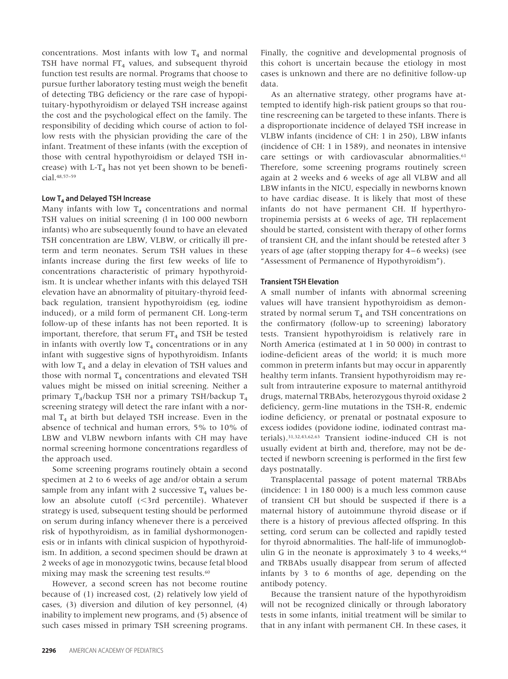concentrations. Most infants with low  $T_4$  and normal TSH have normal  $FT_4$  values, and subsequent thyroid function test results are normal. Programs that choose to pursue further laboratory testing must weigh the benefit of detecting TBG deficiency or the rare case of hypopituitary-hypothyroidism or delayed TSH increase against the cost and the psychological effect on the family. The responsibility of deciding which course of action to follow rests with the physician providing the care of the infant. Treatment of these infants (with the exception of those with central hypothyroidism or delayed TSH increase) with  $L-T_4$  has not yet been shown to be beneficial.48,57–59

# **Low T4 and Delayed TSH Increase**

Many infants with low  $T_4$  concentrations and normal TSH values on initial screening (l in 100 000 newborn infants) who are subsequently found to have an elevated TSH concentration are LBW, VLBW, or critically ill preterm and term neonates. Serum TSH values in these infants increase during the first few weeks of life to concentrations characteristic of primary hypothyroidism. It is unclear whether infants with this delayed TSH elevation have an abnormality of pituitary-thyroid feedback regulation, transient hypothyroidism (eg, iodine induced), or a mild form of permanent CH. Long-term follow-up of these infants has not been reported. It is important, therefore, that serum  $FT_4$  and TSH be tested in infants with overtly low  $T_4$  concentrations or in any infant with suggestive signs of hypothyroidism. Infants with low  $T_4$  and a delay in elevation of TSH values and those with normal  $T_4$  concentrations and elevated TSH values might be missed on initial screening. Neither a primary  $T_4$ /backup TSH nor a primary TSH/backup  $T_4$ screening strategy will detect the rare infant with a normal  $T_4$  at birth but delayed TSH increase. Even in the absence of technical and human errors, 5% to 10% of LBW and VLBW newborn infants with CH may have normal screening hormone concentrations regardless of the approach used.

Some screening programs routinely obtain a second specimen at 2 to 6 weeks of age and/or obtain a serum sample from any infant with 2 successive  $T_4$  values below an absolute cutoff (<3rd percentile). Whatever strategy is used, subsequent testing should be performed on serum during infancy whenever there is a perceived risk of hypothyroidism, as in familial dyshormonogenesis or in infants with clinical suspicion of hypothyroidism. In addition, a second specimen should be drawn at 2 weeks of age in monozygotic twins, because fetal blood mixing may mask the screening test results.<sup>60</sup>

However, a second screen has not become routine because of (1) increased cost, (2) relatively low yield of cases, (3) diversion and dilution of key personnel, (4) inability to implement new programs, and (5) absence of such cases missed in primary TSH screening programs.

Finally, the cognitive and developmental prognosis of this cohort is uncertain because the etiology in most cases is unknown and there are no definitive follow-up data.

As an alternative strategy, other programs have attempted to identify high-risk patient groups so that routine rescreening can be targeted to these infants. There is a disproportionate incidence of delayed TSH increase in VLBW infants (incidence of CH: 1 in 250), LBW infants (incidence of CH: 1 in 1589), and neonates in intensive care settings or with cardiovascular abnormalities.<sup>61</sup> Therefore, some screening programs routinely screen again at 2 weeks and 6 weeks of age all VLBW and all LBW infants in the NICU, especially in newborns known to have cardiac disease. It is likely that most of these infants do not have permanent CH. If hyperthyrotropinemia persists at 6 weeks of age, TH replacement should be started, consistent with therapy of other forms of transient CH, and the infant should be retested after 3 years of age (after stopping therapy for 4 – 6 weeks) (see "Assessment of Permanence of Hypothyroidism").

### **Transient TSH Elevation**

A small number of infants with abnormal screening values will have transient hypothyroidism as demonstrated by normal serum  $T_4$  and TSH concentrations on the confirmatory (follow-up to screening) laboratory tests. Transient hypothyroidism is relatively rare in North America (estimated at 1 in 50 000) in contrast to iodine-deficient areas of the world; it is much more common in preterm infants but may occur in apparently healthy term infants. Transient hypothyroidism may result from intrauterine exposure to maternal antithyroid drugs, maternal TRBAbs, heterozygous thyroid oxidase 2 deficiency, germ-line mutations in the TSH-R, endemic iodine deficiency, or prenatal or postnatal exposure to excess iodides (povidone iodine, iodinated contrast materials).31,32,43,62,63 Transient iodine-induced CH is not usually evident at birth and, therefore, may not be detected if newborn screening is performed in the first few days postnatally.

Transplacental passage of potent maternal TRBAbs (incidence: 1 in 180 000) is a much less common cause of transient CH but should be suspected if there is a maternal history of autoimmune thyroid disease or if there is a history of previous affected offspring. In this setting, cord serum can be collected and rapidly tested for thyroid abnormalities. The half-life of immunoglobulin G in the neonate is approximately 3 to 4 weeks, $64$ and TRBAbs usually disappear from serum of affected infants by 3 to 6 months of age, depending on the antibody potency.

Because the transient nature of the hypothyroidism will not be recognized clinically or through laboratory tests in some infants, initial treatment will be similar to that in any infant with permanent CH. In these cases, it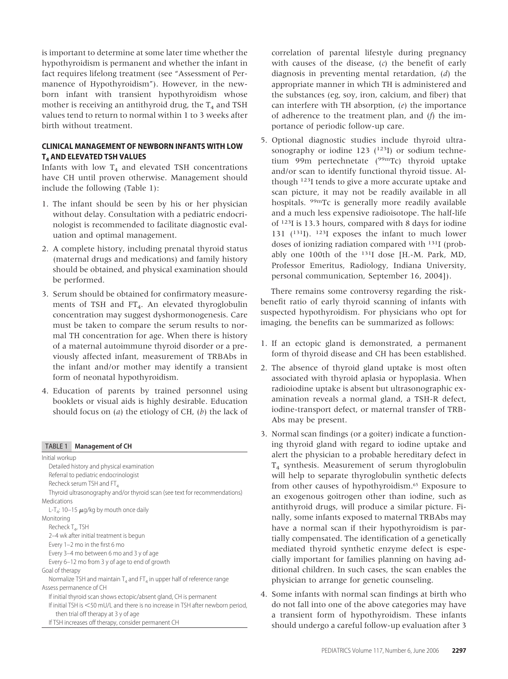is important to determine at some later time whether the hypothyroidism is permanent and whether the infant in fact requires lifelong treatment (see "Assessment of Permanence of Hypothyroidism"). However, in the newborn infant with transient hypothyroidism whose mother is receiving an antithyroid drug, the  $T_4$  and TSH values tend to return to normal within 1 to 3 weeks after birth without treatment.

# **CLINICAL MANAGEMENT OF NEWBORN INFANTS WITH LOW T4 AND ELEVATED TSH VALUES**

Infants with low  $T_4$  and elevated TSH concentrations have CH until proven otherwise. Management should include the following (Table 1):

- 1. The infant should be seen by his or her physician without delay. Consultation with a pediatric endocrinologist is recommended to facilitate diagnostic evaluation and optimal management.
- 2. A complete history, including prenatal thyroid status (maternal drugs and medications) and family history should be obtained, and physical examination should be performed.
- 3. Serum should be obtained for confirmatory measurements of TSH and  $FT_4$ . An elevated thyroglobulin concentration may suggest dyshormonogenesis. Care must be taken to compare the serum results to normal TH concentration for age. When there is history of a maternal autoimmune thyroid disorder or a previously affected infant, measurement of TRBAbs in the infant and/or mother may identify a transient form of neonatal hypothyroidism.
- 4. Education of parents by trained personnel using booklets or visual aids is highly desirable. Education should focus on (*a*) the etiology of CH, (*b*) the lack of

### TABLE 1 **Management of CH**

| Initial workup                                                                        |
|---------------------------------------------------------------------------------------|
| Detailed history and physical examination                                             |
| Referral to pediatric endocrinologist                                                 |
| Recheck serum TSH and FT <sub>4</sub>                                                 |
| Thyroid ultrasonography and/or thyroid scan (see text for recommendations)            |
| Medications                                                                           |
| L-T <sub>4</sub> : 10–15 $\mu$ g/kg by mouth once daily                               |
| Monitoring                                                                            |
| Recheck $T_{4}$ , TSH                                                                 |
| 2-4 wk after initial treatment is begun                                               |
| Every 1-2 mo in the first 6 mo                                                        |
| Every 3–4 mo between 6 mo and 3 y of age                                              |
| Every 6–12 mo from 3 y of age to end of growth                                        |
| Goal of therapy                                                                       |
| Normalize TSH and maintain $T_4$ and FT <sub>4</sub> in upper half of reference range |
| Assess permanence of CH                                                               |
| If initial thyroid scan shows ectopic/absent gland, CH is permanent                   |
| If initial TSH is <50 mU/L and there is no increase in TSH after newborn period,      |
| then trial off therapy at 3 y of age                                                  |
| If TSH increases off therapy, consider permanent CH                                   |

correlation of parental lifestyle during pregnancy with causes of the disease, (*c*) the benefit of early diagnosis in preventing mental retardation, (*d*) the appropriate manner in which TH is administered and the substances (eg, soy, iron, calcium, and fiber) that can interfere with TH absorption, (*e*) the importance of adherence to the treatment plan, and (*f*) the importance of periodic follow-up care.

5. Optional diagnostic studies include thyroid ultrasonography or iodine 123  $(123)$  or sodium technetium 99m pertechnetate ( $^{99m}$ Tc) thyroid uptake and/or scan to identify functional thyroid tissue. Although 123I tends to give a more accurate uptake and scan picture, it may not be readily available in all hospitals. 99mTc is generally more readily available and a much less expensive radioisotope. The half-life of 123I is 13.3 hours, compared with 8 days for iodine 131  $(131)$ .  $123$ I exposes the infant to much lower doses of ionizing radiation compared with 131I (probably one 100th of the 131I dose [H.-M. Park, MD, Professor Emeritus, Radiology, Indiana University, personal communication, September 16, 2004]).

There remains some controversy regarding the riskbenefit ratio of early thyroid scanning of infants with suspected hypothyroidism. For physicians who opt for imaging, the benefits can be summarized as follows:

- 1. If an ectopic gland is demonstrated, a permanent form of thyroid disease and CH has been established.
- 2. The absence of thyroid gland uptake is most often associated with thyroid aplasia or hypoplasia. When radioiodine uptake is absent but ultrasonographic examination reveals a normal gland, a TSH-R defect, iodine-transport defect, or maternal transfer of TRB-Abs may be present.
- 3. Normal scan findings (or a goiter) indicate a functioning thyroid gland with regard to iodine uptake and alert the physician to a probable hereditary defect in T4 synthesis. Measurement of serum thyroglobulin will help to separate thyroglobulin synthetic defects from other causes of hypothyroidism.<sup>65</sup> Exposure to an exogenous goitrogen other than iodine, such as antithyroid drugs, will produce a similar picture. Finally, some infants exposed to maternal TRBAbs may have a normal scan if their hypothyroidism is partially compensated. The identification of a genetically mediated thyroid synthetic enzyme defect is especially important for families planning on having additional children. In such cases, the scan enables the physician to arrange for genetic counseling.
- 4. Some infants with normal scan findings at birth who do not fall into one of the above categories may have a transient form of hypothyroidism. These infants should undergo a careful follow-up evaluation after 3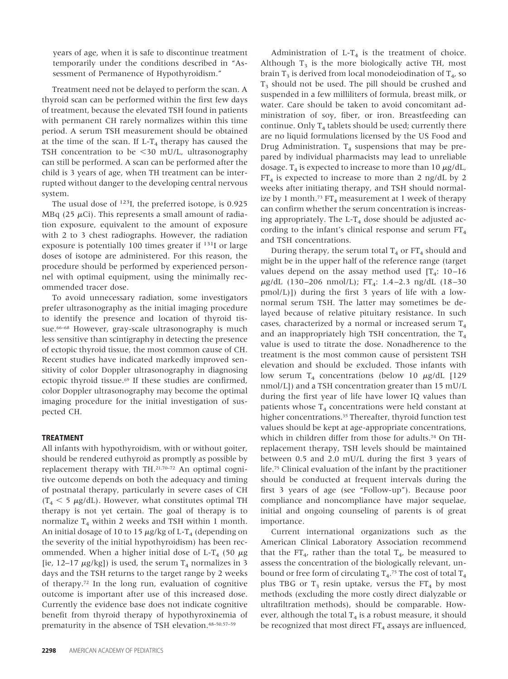years of age, when it is safe to discontinue treatment temporarily under the conditions described in "Assessment of Permanence of Hypothyroidism."

Treatment need not be delayed to perform the scan. A thyroid scan can be performed within the first few days of treatment, because the elevated TSH found in patients with permanent CH rarely normalizes within this time period. A serum TSH measurement should be obtained at the time of the scan. If  $L-T_4$  therapy has caused the TSH concentration to be  $\leq$ 30 mU/L, ultrasonography can still be performed. A scan can be performed after the child is 3 years of age, when TH treatment can be interrupted without danger to the developing central nervous system.

The usual dose of 123I, the preferred isotope, is 0.925 MBq (25  $\mu$ Ci). This represents a small amount of radiation exposure, equivalent to the amount of exposure with 2 to 3 chest radiographs. However, the radiation exposure is potentially 100 times greater if 131I or large doses of isotope are administered. For this reason, the procedure should be performed by experienced personnel with optimal equipment, using the minimally recommended tracer dose.

To avoid unnecessary radiation, some investigators prefer ultrasonography as the initial imaging procedure to identify the presence and location of thyroid tissue.<sup>66–68</sup> However, gray-scale ultrasonography is much less sensitive than scintigraphy in detecting the presence of ectopic thyroid tissue, the most common cause of CH. Recent studies have indicated markedly improved sensitivity of color Doppler ultrasonography in diagnosing ectopic thyroid tissue.<sup>69</sup> If these studies are confirmed, color Doppler ultrasonography may become the optimal imaging procedure for the initial investigation of suspected CH.

# **TREATMENT**

All infants with hypothyroidism, with or without goiter, should be rendered euthyroid as promptly as possible by replacement therapy with TH.21,70–72 An optimal cognitive outcome depends on both the adequacy and timing of postnatal therapy, particularly in severe cases of CH  $(T_4 < 5 \mu g/dL)$ . However, what constitutes optimal TH therapy is not yet certain. The goal of therapy is to normalize  $T_4$  within 2 weeks and TSH within 1 month. An initial dosage of 10 to 15  $\mu$ g/kg of L-T<sub>4</sub> (depending on the severity of the initial hypothyroidism) has been recommended. When a higher initial dose of L-T<sub>4</sub> (50  $\mu$ g [ie, 12–17  $\mu$ g/kg]) is used, the serum T<sub>4</sub> normalizes in 3 days and the TSH returns to the target range by 2 weeks of therapy.72 In the long run, evaluation of cognitive outcome is important after use of this increased dose. Currently the evidence base does not indicate cognitive benefit from thyroid therapy of hypothyroxinemia of prematurity in the absence of TSH elevation.48–50,57–59

Administration of  $L-T_4$  is the treatment of choice. Although  $T_3$  is the more biologically active TH, most brain  $T_3$  is derived from local monodeiodination of  $T_4$ , so  $T<sub>3</sub>$  should not be used. The pill should be crushed and suspended in a few milliliters of formula, breast milk, or water. Care should be taken to avoid concomitant administration of soy, fiber, or iron. Breastfeeding can continue. Only  $T_4$  tablets should be used; currently there are no liquid formulations licensed by the US Food and Drug Administration.  $T_4$  suspensions that may be prepared by individual pharmacists may lead to unreliable dosage.  $T_4$  is expected to increase to more than 10  $\mu$ g/dL,  $FT<sub>4</sub>$  is expected to increase to more than 2 ng/dL by 2 weeks after initiating therapy, and TSH should normalize by 1 month.<sup>73</sup> FT<sub>4</sub> measurement at 1 week of therapy can confirm whether the serum concentration is increasing appropriately. The L- $T_4$  dose should be adjusted according to the infant's clinical response and serum  $FT_4$ and TSH concentrations.

During therapy, the serum total  $T_4$  or  $FT_4$  should and might be in the upper half of the reference range (target values depend on the assay method used  $[T_4: 10-16]$  $\mu$ g/dL (130-206 nmol/L); FT<sub>4</sub>: 1.4-2.3 ng/dL (18-30 pmol/L)]) during the first 3 years of life with a lownormal serum TSH. The latter may sometimes be delayed because of relative pituitary resistance. In such cases, characterized by a normal or increased serum  $T_4$ and an inappropriately high TSH concentration, the  $T_4$ value is used to titrate the dose. Nonadherence to the treatment is the most common cause of persistent TSH elevation and should be excluded. Those infants with low serum  $T_4$  concentrations (below 10  $\mu$ g/dL [129 nmol/L]) and a TSH concentration greater than 15 mU/L during the first year of life have lower IQ values than patients whose  $T_4$  concentrations were held constant at higher concentrations.<sup>35</sup> Thereafter, thyroid function test values should be kept at age-appropriate concentrations, which in children differ from those for adults.<sup>74</sup> On THreplacement therapy, TSH levels should be maintained between 0.5 and 2.0 mU/L during the first 3 years of life.75 Clinical evaluation of the infant by the practitioner should be conducted at frequent intervals during the first 3 years of age (see "Follow-up"). Because poor compliance and noncompliance have major sequelae, initial and ongoing counseling of parents is of great importance.

Current international organizations such as the American Clinical Laboratory Association recommend that the FT<sub>4</sub>, rather than the total T<sub>4</sub>, be measured to assess the concentration of the biologically relevant, unbound or free form of circulating  $T_4$ .<sup>75</sup> The cost of total  $T_4$ plus TBG or  $T_3$  resin uptake, versus the FT<sub>4</sub> by most methods (excluding the more costly direct dialyzable or ultrafiltration methods), should be comparable. However, although the total  $T_4$  is a robust measure, it should be recognized that most direct  $FT_4$  assays are influenced,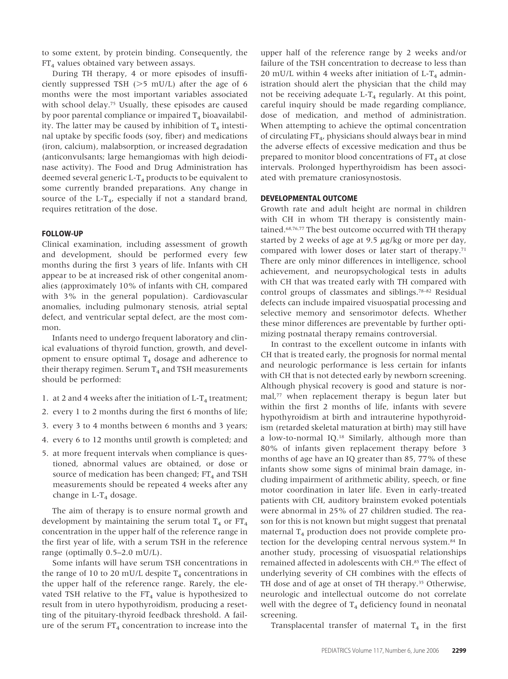to some extent, by protein binding. Consequently, the  $FT<sub>4</sub>$  values obtained vary between assays.

During TH therapy, 4 or more episodes of insufficiently suppressed TSH  $(>5 \text{ mU/L})$  after the age of 6 months were the most important variables associated with school delay.75 Usually, these episodes are caused by poor parental compliance or impaired  $T_4$  bioavailability. The latter may be caused by inhibition of  $T_4$  intestinal uptake by specific foods (soy, fiber) and medications (iron, calcium), malabsorption, or increased degradation (anticonvulsants; large hemangiomas with high deiodinase activity). The Food and Drug Administration has deemed several generic  $L-T_4$  products to be equivalent to some currently branded preparations. Any change in source of the L- $T_4$ , especially if not a standard brand, requires retitration of the dose.

### **FOLLOW-UP**

Clinical examination, including assessment of growth and development, should be performed every few months during the first 3 years of life. Infants with CH appear to be at increased risk of other congenital anomalies (approximately 10% of infants with CH, compared with 3% in the general population). Cardiovascular anomalies, including pulmonary stenosis, atrial septal defect, and ventricular septal defect, are the most common.

Infants need to undergo frequent laboratory and clinical evaluations of thyroid function, growth, and development to ensure optimal  $T_4$  dosage and adherence to their therapy regimen. Serum  $T_4$  and TSH measurements should be performed:

- 1. at 2 and 4 weeks after the initiation of  $LT_4$  treatment;
- 2. every 1 to 2 months during the first 6 months of life;
- 3. every 3 to 4 months between 6 months and 3 years;
- 4. every 6 to 12 months until growth is completed; and
- 5. at more frequent intervals when compliance is questioned, abnormal values are obtained, or dose or source of medication has been changed;  $FT<sub>4</sub>$  and TSH measurements should be repeated 4 weeks after any change in  $L-T_4$  dosage.

The aim of therapy is to ensure normal growth and development by maintaining the serum total  $T_4$  or  $FT_4$ concentration in the upper half of the reference range in the first year of life, with a serum TSH in the reference range (optimally 0.5–2.0 mU/L).

Some infants will have serum TSH concentrations in the range of 10 to 20 mU/L despite  $T_4$  concentrations in the upper half of the reference range. Rarely, the elevated TSH relative to the  $FT_4$  value is hypothesized to result from in utero hypothyroidism, producing a resetting of the pituitary-thyroid feedback threshold. A failure of the serum  $FT_4$  concentration to increase into the

upper half of the reference range by 2 weeks and/or failure of the TSH concentration to decrease to less than 20 mU/L within 4 weeks after initiation of L-T<sub>4</sub> administration should alert the physician that the child may not be receiving adequate L- $T_4$  regularly. At this point, careful inquiry should be made regarding compliance, dose of medication, and method of administration. When attempting to achieve the optimal concentration of circulating  $FT_4$ , physicians should always bear in mind the adverse effects of excessive medication and thus be prepared to monitor blood concentrations of  $FT<sub>4</sub>$  at close intervals. Prolonged hyperthyroidism has been associated with premature craniosynostosis.

# **DEVELOPMENTAL OUTCOME**

Growth rate and adult height are normal in children with CH in whom TH therapy is consistently maintained.68,76,77 The best outcome occurred with TH therapy started by 2 weeks of age at 9.5  $\mu$ g/kg or more per day, compared with lower doses or later start of therapy.<sup>71</sup> There are only minor differences in intelligence, school achievement, and neuropsychological tests in adults with CH that was treated early with TH compared with control groups of classmates and siblings.78–82 Residual defects can include impaired visuospatial processing and selective memory and sensorimotor defects. Whether these minor differences are preventable by further optimizing postnatal therapy remains controversial.

In contrast to the excellent outcome in infants with CH that is treated early, the prognosis for normal mental and neurologic performance is less certain for infants with CH that is not detected early by newborn screening. Although physical recovery is good and stature is normal,<sup>77</sup> when replacement therapy is begun later but within the first 2 months of life, infants with severe hypothyroidism at birth and intrauterine hypothyroidism (retarded skeletal maturation at birth) may still have a low-to-normal IQ.18 Similarly, although more than 80% of infants given replacement therapy before 3 months of age have an IQ greater than 85, 77% of these infants show some signs of minimal brain damage, including impairment of arithmetic ability, speech, or fine motor coordination in later life. Even in early-treated patients with CH, auditory brainstem evoked potentials were abnormal in 25% of 27 children studied. The reason for this is not known but might suggest that prenatal maternal  $T_4$  production does not provide complete protection for the developing central nervous system.84 In another study, processing of visuospatial relationships remained affected in adolescents with CH.85 The effect of underlying severity of CH combines with the effects of TH dose and of age at onset of TH therapy.<sup>35</sup> Otherwise, neurologic and intellectual outcome do not correlate well with the degree of  $T_4$  deficiency found in neonatal screening.

Transplacental transfer of maternal  $T_4$  in the first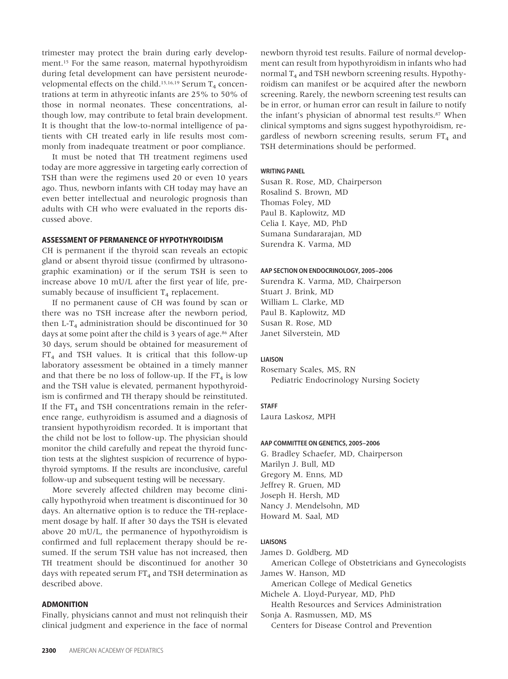trimester may protect the brain during early development.15 For the same reason, maternal hypothyroidism during fetal development can have persistent neurodevelopmental effects on the child.<sup>15,16,19</sup> Serum  $T_4$  concentrations at term in athyreotic infants are 25% to 50% of those in normal neonates. These concentrations, although low, may contribute to fetal brain development. It is thought that the low-to-normal intelligence of patients with CH treated early in life results most commonly from inadequate treatment or poor compliance.

It must be noted that TH treatment regimens used today are more aggressive in targeting early correction of TSH than were the regimens used 20 or even 10 years ago. Thus, newborn infants with CH today may have an even better intellectual and neurologic prognosis than adults with CH who were evaluated in the reports discussed above.

### **ASSESSMENT OF PERMANENCE OF HYPOTHYROIDISM**

CH is permanent if the thyroid scan reveals an ectopic gland or absent thyroid tissue (confirmed by ultrasonographic examination) or if the serum TSH is seen to increase above 10 mU/L after the first year of life, presumably because of insufficient  $T_4$  replacement.

If no permanent cause of CH was found by scan or there was no TSH increase after the newborn period, then  $L-T_4$  administration should be discontinued for 30 days at some point after the child is 3 years of age.<sup>86</sup> After 30 days, serum should be obtained for measurement of  $FT<sub>4</sub>$  and TSH values. It is critical that this follow-up laboratory assessment be obtained in a timely manner and that there be no loss of follow-up. If the  $FT_4$  is low and the TSH value is elevated, permanent hypothyroidism is confirmed and TH therapy should be reinstituted. If the  $FT_4$  and TSH concentrations remain in the reference range, euthyroidism is assumed and a diagnosis of transient hypothyroidism recorded. It is important that the child not be lost to follow-up. The physician should monitor the child carefully and repeat the thyroid function tests at the slightest suspicion of recurrence of hypothyroid symptoms. If the results are inconclusive, careful follow-up and subsequent testing will be necessary.

More severely affected children may become clinically hypothyroid when treatment is discontinued for 30 days. An alternative option is to reduce the TH-replacement dosage by half. If after 30 days the TSH is elevated above 20 mU/L, the permanence of hypothyroidism is confirmed and full replacement therapy should be resumed. If the serum TSH value has not increased, then TH treatment should be discontinued for another 30 days with repeated serum  $FT_4$  and TSH determination as described above.

# **ADMONITION**

Finally, physicians cannot and must not relinquish their clinical judgment and experience in the face of normal newborn thyroid test results. Failure of normal development can result from hypothyroidism in infants who had normal T<sub>4</sub> and TSH newborn screening results. Hypothyroidism can manifest or be acquired after the newborn screening. Rarely, the newborn screening test results can be in error, or human error can result in failure to notify the infant's physician of abnormal test results.<sup>87</sup> When clinical symptoms and signs suggest hypothyroidism, regardless of newborn screening results, serum  $FT_4$  and TSH determinations should be performed.

# **WRITING PANEL**

Susan R. Rose, MD, Chairperson Rosalind S. Brown, MD Thomas Foley, MD Paul B. Kaplowitz, MD Celia I. Kaye, MD, PhD Sumana Sundararajan, MD Surendra K. Varma, MD

#### **AAP SECTION ON ENDOCRINOLOGY, 2005–2006**

Surendra K. Varma, MD, Chairperson Stuart J. Brink, MD William L. Clarke, MD Paul B. Kaplowitz, MD Susan R. Rose, MD Janet Silverstein, MD

### **LIAISON**

Rosemary Scales, MS, RN Pediatric Endocrinology Nursing Society

### **STAFF**

Laura Laskosz, MPH

### **AAP COMMITTEE ON GENETICS, 2005–2006**

G. Bradley Schaefer, MD, Chairperson Marilyn J. Bull, MD Gregory M. Enns, MD Jeffrey R. Gruen, MD Joseph H. Hersh, MD Nancy J. Mendelsohn, MD Howard M. Saal, MD

### **LIAISONS**

James D. Goldberg, MD

American College of Obstetricians and Gynecologists James W. Hanson, MD

American College of Medical Genetics

Michele A. Lloyd-Puryear, MD, PhD

Health Resources and Services Administration Sonja A. Rasmussen, MD, MS

Centers for Disease Control and Prevention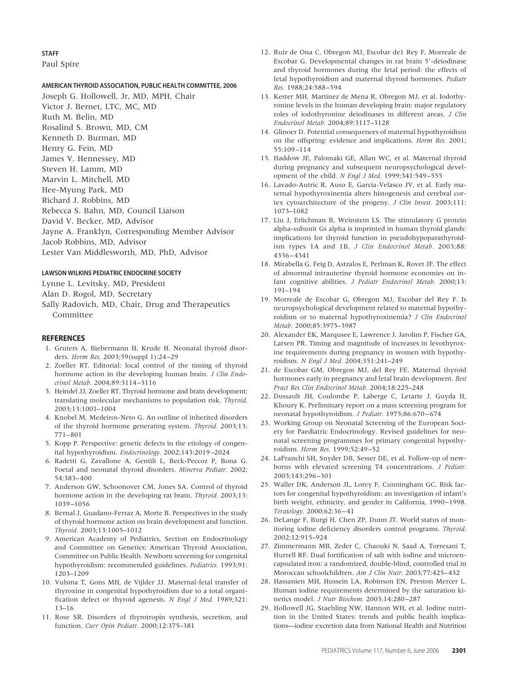# **STAFF**

Paul Spire

### **AMERICAN THYROID ASSOCIATION, PUBLIC HEALTH COMMITTEE, 2006**

Joseph G. Hollowell, Jr, MD, MPH, Chair Victor J. Bernet, LTC, MC, MD Ruth M. Belin, MD Rosalind S. Brown, MD, CM Kenneth D. Burman, MD Henry G. Fein, MD James V. Hennessey, MD Steven H. Lamm, MD Marvin L. Mitchell, MD Hee-Myung Park, MD Richard J. Robbins, MD Rebecca S. Bahn, MD, Council Liaison David V. Becker, MD, Advisor Jayne A. Franklyn, Corresponding Member Advisor Jacob Robbins, MD, Advisor Lester Van Middlesworth, MD, PhD, Advisor

### **LAWSON WILKINS PEDIATRIC ENDOCRINE SOCIETY**

Lynne L. Levitsky, MD, President

Alan D. Rogol, MD, Secretary

Sally Radovich, MD, Chair, Drug and Therapeutics Committee

### **REFERENCES**

- 1. Gruters A, Biebermann H, Krude H. Neonatal thyroid disorders. *Horm Res.* 2003;59(suppl 1):24 –29
- 2. Zoeller RT. Editorial: local control of the timing of thyroid hormone action in the developing human brain. *J Clin Endocrinol Metab.* 2004;89:3114 –3116
- 3. Heindel JJ, Zoeller RT. Thyroid hormone and brain development: translating molecular mechanisms to population risk. *Thyroid.* 2003;13:1001–1004
- 4. Knobel M, Medeiros-Neto G. An outline of inherited disorders of the thyroid hormone generating system. *Thyroid.* 2003;13: 771– 801
- 5. Kopp P. Perspective: genetic defects in the etiology of congenital hypothyroidism. *Endocrinology.* 2002;143:2019 –2024
- 6. Radetti G, Zavallone A, Gentili L, Beck-Peccoz P, Bona G. Foetal and neonatal thyroid disorders. *Minerva Pediatr.* 2002; 54:383– 400
- 7. Anderson GW, Schoonover CM, Jones SA. Control of thyroid hormone action in the developing rat brain. *Thyroid.* 2003;13: 1039 –1056
- 8. Bernal J, Guadano-Ferraz A, Morte B. Perspectives in the study of thyroid hormone action on brain development and function. *Thyroid.* 2003;13:1005–1012
- 9. American Academy of Pediatrics, Section on Endocrinology and Committee on Genetics; American Thyroid Association, Committee on Public Health. Newborn screening for congenital hypothyroidism: recommended guidelines. *Pediatrics.* 1993;91: 1203–1209
- 10. Vulsma T, Gons MH, de Vijlder JJ. Maternal-fetal transfer of thyroxine in congenital hypothyroidism due to a total organification defect or thyroid agenesis. *N Engl J Med.* 1989;321: 13–16
- 11. Rose SR. Disorders of thyrotropin synthesis, secretion, and function. *Curr Opin Pediatr.* 2000;12:375–381
- 12. Ruiz de Ona C, Obregon MJ, Escobar de1 Rey F, Morreale de Escobar G. Developmental changes in rat brain 5-deiodinase and thyroid hormones during the fetal period: the effects of fetal hypothyroidism and maternal thyroid hormones. *Pediatr Res.* 1988;24:588 –594
- 13. Kester MH, Martinez de Mena R, Obregon MJ, et al. Iodothyronine levels in the human developing brain: major regulatory roles of iodothyronine deiodinases in different areas. *J Clin Endocrinol Metab.* 2004;89:3117–3128
- 14. Glinoer D. Potential consequences of maternal hypothyroidism on the offspring: evidence and implications. *Horm Res.* 2001; 55:109 –114
- 15. Haddow JE, Palomaki GE, Allan WC, et al. Maternal thyroid during pregnancy and subsequent neuropsychological development of the child. *N Engl J Med.* 1999;341:549 –555
- 16. Lavado-Autric R, Auso E, Garcia-Velasco JV, et al. Early maternal hypothyroxinemia alters histogenesis and cerebral cortex cytoarchitecture of the progeny. *J Clin Invest.* 2003;111: 1073–1082
- 17. Liu J, Erlichman B, Weinstein LS. The stimulatory G protein alpha-subunit Gs alpha is imprinted in human thyroid glands: implications for thyroid function in pseudohypoparathyroidism types 1A and 1B. *J Clin Endocrinol Metab.* 2003;88: 4336 – 4341
- 18. Mirabella G, Feig D, Astzalos E, Perlman K, Rovet JF. The effect of abnormal intrauterine thyroid hormone economies on infant cognitive abilities. *J Pediatr Endocrinol Metab.* 2000;13: 191–194
- 19. Morreale de Escobar G, Obregon MJ, Escobar del Rey F. Is neuropsychological development related to maternal hypothyroidism or to maternal hypothyroxinemia? *J Clin Endocrinol Metab.* 2000;85:3975–3987
- 20. Alexander EK, Marqusee E, Lawrence J, Jarolim P, Fischer GA, Larsen PR. Timing and magnitude of increases in levothyroxine requirements during pregnancy in women with hypothyroidism. *N Engl J Med.* 2004;351:241–249
- 21. de Escobar GM, Obregon MJ, del Rey FE. Maternal thyroid hormones early in pregnancy and fetal brain development. *Best Pract Res Clin Endocrinol Metab.* 2004;18:225–248
- 22. Dussault JH, Coulombe P, Laberge C, Letarte J, Guyda H, Khoury K. Preliminary report on a mass screening program for neonatal hypothyroidism. *J Pediatr.* 1975;86:670 – 674
- 23. Working Group on Neonatal Screening of the European Society for Paediatric Endocrinology. Revised guidelines for neonatal screening programmes for primary congenital hypothyroidism. *Horm Res.* 1999;52:49 –52
- 24. LaFranchi SH, Snyder DB, Sesser DE, et al. Follow-up of newborns with elevated screening T4 concentrations. *J Pediatr.* 2003;143:296 –301
- 25. Waller DK, Anderson JL, Lorey F, Cunningham GC. Risk factors for congenital hypothyroidism: an investigation of infant's birth weight, ethnicity, and gender in California, 1990 –1998. *Teratology.* 2000;62:36 – 41
- 26. DeLange F, Burgi H, Chen ZP, Dunn JT. World status of monitoring iodine deficiency disorders control programs. *Thyroid.* 2002;12:915–924
- 27. Zimmermann MB, Zeder C, Chaouki N, Saad A, Torresani T, Hurrell RF. Dual fortification of salt with iodine and microencapsulated iron: a randomized, double-blind, controlled trial in Moroccan schoolchildren. *Am J Clin Nutr.* 2003;77:425– 432
- 28. Hassanien MH, Hussein LA, Robinson EN, Preston Mercer L. Human iodine requirements determined by the saturation kinetics model. *J Nutr Biochem.* 2003;14:280 –287
- 29. Hollowell JG, Staehling NW, Hannon WH, et al. Iodine nutrition in the United States: trends and public health implications—iodine excretion data from National Health and Nutrition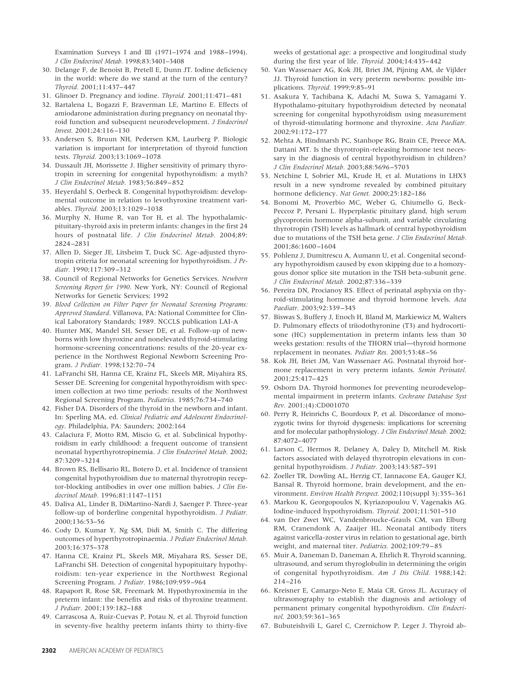Examination Surveys I and III (1971–1974 and 1988–1994). *J Clin Endocrinol Metab.* 1998;83:3401–3408

- 30. Delange F, de Benoist B, Pretell E, Dunn JT. Iodine deficiency in the world: where do we stand at the turn of the century? *Thyroid.* 2001;11:437– 447
- 31. Glinoer D. Pregnancy and iodine. *Thyroid.* 2001;11:471– 481
- 32. Bartalena L, Bogazzi F, Braverman LE, Martino E. Effects of amiodarone administration during pregnancy on neonatal thyroid function and subsequent neurodevelopment. *J Endocrinol Invest.* 2001;24:116 –130
- 33. Andersen S, Bruun NH, Pedersen KM, Laurberg P. Biologic variation is important for interpretation of thyroid function tests. *Thyroid.* 2003;13:1069 –1078
- 34. Dussault JH, Morissette J. Higher sensitivity of primary thyrotropin in screening for congenital hypothyroidism: a myth? *J Clin Endocrinol Metab.* 1983;56:849 – 852
- 35. Heyerdahl S, Oerbeck B. Congenital hypothyroidism: developmental outcome in relation to levothyroxine treatment variables. *Thyroid.* 2003;13:1029 –1038
- 36. Murphy N, Hume R, van Tor H, et al. The hypothalamicpituitary-thyroid axis in preterm infants: changes in the first 24 hours of postnatal life. *J Clin Endocrinol Metab.* 2004;89: 2824 –2831
- 37. Allen D, Sieger JE, Litsheim T, Duck SC. Age-adjusted thyrotropin criteria for neonatal screening for hypothyroidism. *J Pediatr.* 1990;117:309 –312
- 38. Council of Regional Networks for Genetics Services. *Newborn Screening Report for 1990*. New York, NY: Council of Regional Networks for Genetic Services; 1992
- 39. *Blood Collection on Filter Paper for Neonatal Screening Programs: Approved Standard*. Villanova, PA: National Committee for Clinical Laboratory Standards; 1989. NCCLS publication LAI-A
- 40. Hunter MK, Mandel SH, Sesser DE, et al. Follow-up of newborns with low thyroxine and nonelevated thyroid-stimulating hormone-screening concentrations: results of the 20-year experience in the Northwest Regional Newborn Screening Program. *J Pediatr.* 1998;132:70 –74
- 41. LaFranchi SH, Hanna CE, Krainz FL, Skeels MR, Miyahira RS, Sesser DE. Screening for congenital hypothyroidism with specimen collection at two time periods: results of the Northwest Regional Screening Program. *Pediatrics.* 1985;76:734 –740
- 42. Fisher DA. Disorders of the thyroid in the newborn and infant. In: Sperling MA, ed. *Clinical Pediatric and Adolescent Endocrinology*. Philadelphia, PA: Saunders; 2002:164
- 43. Calaciura F, Motto RM, Miscio G, et al. Subclinical hypothyroidism in early childhood: a frequent outcome of transient neonatal hyperthyrotropinemia. *J Clin Endocrinol Metab.* 2002; 87:3209 –3214
- 44. Brown RS, Bellisario RL, Botero D, et al. Incidence of transient congenital hypothyroidism due to maternal thyrotropin receptor-blocking antibodies in over one million babies. *J Clin Endocrinol Metab.* 1996;81:1147–1151
- 45. Daliva AL, Linder B, DiMartino-Nardi J, Saenger P. Three-year follow-up of borderline congenital hypothyroidism. *J Pediatr.* 2000;136:53–56
- 46. Cody D, Kumar Y, Ng SM, Didi M, Smith C. The differing outcomes of hyperthyrotropinaemia. *J Pediatr Endocrinol Metab.* 2003;16:375–378
- 47. Hanna CE, Krainz PL, Skeels MR, Miyahara RS, Sesser DE, LaFranchi SH. Detection of congenital hypopituitary hypothyroidism: ten-year experience in the Northwest Regional Screening Program. *J Pediatr.* 1986;109:959 –964
- 48. Rapaport R, Rose SR, Freemark M. Hypothyroxinemia in the preterm infant: the benefits and risks of thyroxine treatment. *J Pediatr.* 2001;139:182–188
- 49. Carrascosa A, Ruiz-Cuevas P, Potau N, et al. Thyroid function in seventy-five healthy preterm infants thirty to thirty-five

weeks of gestational age: a prospective and longitudinal study during the first year of life. *Thyroid.* 2004;14:435– 442

- 50. Van Wassenaer AG, Kok JH, Briet JM, Pijning AM, de Vijlder JJ. Thyroid function in very preterm newborns: possible implications. *Thyroid.* 1999;9:85–91
- 51. Asakura Y, Tachibana K, Adachi M, Suwa S, Yamagami Y. Hypothalamo-pituitary hypothyroidism detected by neonatal screening for congenital hypothyroidism using measurement of thyroid-stimulating hormone and thyroxine. *Acta Paediatr.* 2002;91:172–177
- 52. Mehta A, Hindmarsh PC, Stanhope RG, Brain CE, Preece MA, Dattani MT. Is the thyrotropin-releasing hormone test necessary in the diagnosis of central hypothyroidism in children? *J Clin Endocrinol Metab.* 2003;88:5696 –5703
- 53. Netchine I, Sobrier ML, Krude H, et al. Mutations in LHX3 result in a new syndrome revealed by combined pituitary hormone deficiency. *Nat Genet.* 2000;25:182–186
- 54. Bonomi M, Proverbio MC, Weber G, Chiumello G, Beck-Peccoz P, Persani L. Hyperplastic pituitary gland, high serum glycoprotein hormone alpha-subunit, and variable circulating thyrotropin (TSH) levels as hallmark of central hypothyroidism due to mutations of the TSH beta gene. *J Clin Endocrinol Metab.* 2001;86:1600 –1604
- 55. Pohlenz J, Dumitrescu A, Aumann U, et al. Congenital secondary hypothyroidism caused by exon skipping due to a homozygous donor splice site mutation in the TSH beta-subunit gene. *J Clin Endocrinol Metab.* 2002;87:336 –339
- 56. Pereira DN, Procianoy RS. Effect of perinatal asphyxia on thyroid-stimulating hormone and thyroid hormone levels. *Acta Paediatr.* 2003;92:339 –345
- 57. Biswas S, Buffery J, Enoch H, Bland M, Markiewicz M, Walters D. Pulmonary effects of triiodothyronine (T3) and hydrocortisone (HC) supplementation in preterm infants less than 30 weeks gestation: results of the THORN trial—thyroid hormone replacement in neonates. *Pediatr Res.* 2003;53:48 –56
- 58. Kok JH, Briet JM, Van Wassenaer AG. Postnatal thyroid hormone replacement in very preterm infants. *Semin Perinatol.* 2001;25:417– 425
- 59. Osborn DA. Thyroid hormones for preventing neurodevelopmental impairment in preterm infants. *Cochrane Database Syst Rev.* 2001;(4):CD001070
- 60. Perry R, Heinrichs C, Bourdoux P, et al. Discordance of monozygotic twins for thyroid dysgenesis: implications for screening and for molecular pathophysiology. *J Clin Endocrinol Metab.* 2002; 87:4072–4077
- 61. Larson C, Hermos R, Delaney A, Daley D, Mitchell M. Risk factors associated with delayed thyrotropin elevations in congenital hypothyroidism. *J Pediatr.* 2003;143:587–591
- 62. Zoeller TR, Dowling AL, Herzig CT, Iannacone EA, Gauger KJ, Bansal R. Thyroid hormone, brain development, and the environment. *Environ Health Perspect.* 2002;110(suppl 3):355–361
- 63. Markou K, Georgopoulos N, Kyriazopoulou V, Vagenakis AG. Iodine-induced hypothyroidism. *Thyroid.* 2001;11:501–510
- 64. van Der Zwet WC, Vandenbroucke-Grauls CM, van Elburg RM, Cranendonk A, Zaaijer HL. Neonatal antibody titers against varicella-zoster virus in relation to gestational age, birth weight, and maternal titer. *Pediatrics.* 2002;109:79 – 85
- 65. Muir A, Daneman D, Daneman A, Ehrlich R. Thyroid scanning, ultrasound, and serum thyroglobulin in determining the origin of congenital hypothyroidism. *Am J Dis Child.* 1988;142: 214 –216
- 66. Kreisner E, Camargo-Neto E, Maia CR, Gross JL. Accuracy of ultrasonography to establish the diagnosis and aetiology of permanent primary congenital hypothyroidism. *Clin Endocrinol.* 2003;59:361–365
- 67. Bubuteishvili L, Garel C, Czernichow P, Leger J. Thyroid ab-